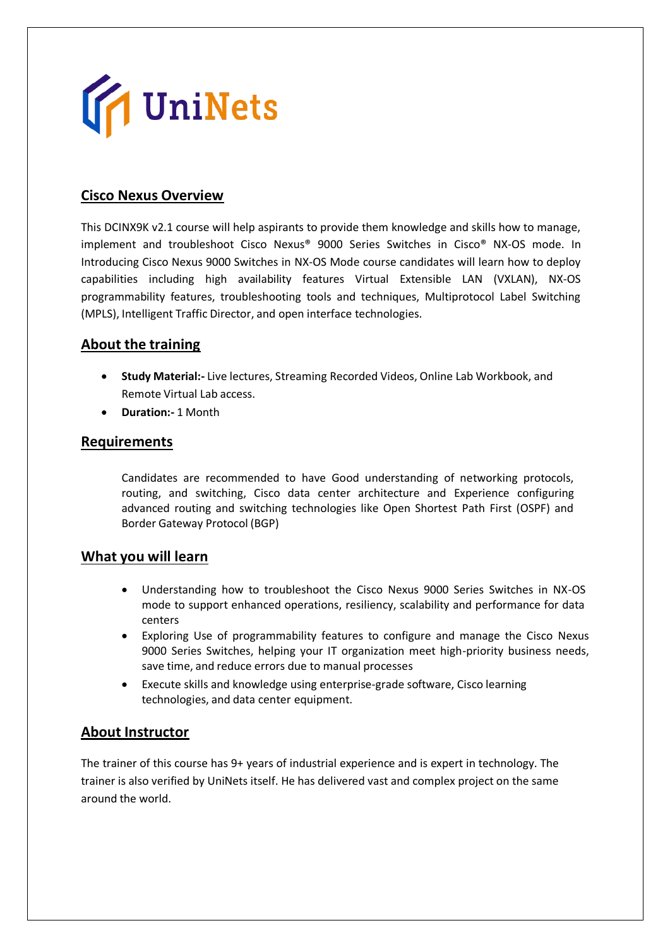

### **Cisco Nexus Overview**

This DCINX9K v2.1 course will help aspirants to provide them knowledge and skills how to manage, implement and troubleshoot Cisco Nexus® 9000 Series Switches in Cisco® NX-OS mode. In Introducing Cisco Nexus 9000 Switches in NX-OS Mode course candidates will learn how to deploy capabilities including high availability features Virtual Extensible LAN (VXLAN), NX-OS programmability features, troubleshooting tools and techniques, Multiprotocol Label Switching (MPLS), Intelligent Traffic Director, and open interface technologies.

#### **About the training**

- **Study Material:-** Live lectures, Streaming Recorded Videos, Online Lab Workbook, and Remote Virtual Lab access.
- **Duration:-** 1 Month

#### **Requirements**

Candidates are recommended to have Good understanding of networking protocols, routing, and switching, Cisco data center architecture and Experience configuring advanced routing and switching technologies like Open Shortest Path First (OSPF) and Border Gateway Protocol (BGP)

#### **What you will learn**

- Understanding how to troubleshoot the Cisco Nexus 9000 Series Switches in NX-OS mode to support enhanced operations, resiliency, scalability and performance for data centers
- Exploring Use of programmability features to configure and manage the Cisco Nexus 9000 Series Switches, helping your IT organization meet high-priority business needs, save time, and reduce errors due to manual processes
- Execute skills and knowledge using enterprise-grade software, Cisco learning technologies, and data center equipment.

#### **About Instructor**

The trainer of this course has 9+ years of industrial experience and is expert in technology. The trainer is also verified by UniNets itself. He has delivered vast and complex project on the same around the world.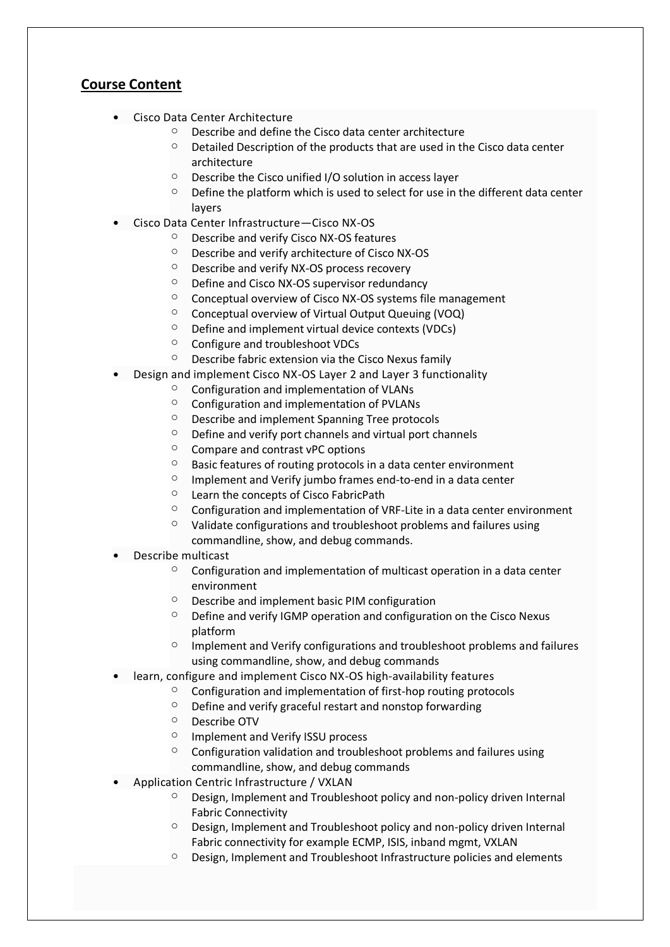## **Course Content**

- Cisco Data Center Architecture
	- $\circ$  Describe and define the Cisco data center architecture
	- $\circ$  Detailed Description of the products that are used in the Cisco data center architecture
	- $\circ$  Describe the Cisco unified I/O solution in access layer
	- $\circ$  Define the platform which is used to select for use in the different data center layers
- Cisco Data Center Infrastructure—Cisco NX-OS
	- o Describe and verify Cisco NX-OS features
	- o Describe and verify architecture of Cisco NX-OS
	- $\circ$  Describe and verify NX-OS process recovery
	- o Define and Cisco NX-OS supervisor redundancy
	- o Conceptual overview of Cisco NX-OS systems file management
	- o Conceptual overview of Virtual Output Queuing (VOQ)
	- $\circ$  Define and implement virtual device contexts (VDCs)
	- o Configure and troubleshoot VDCs
	- o Describe fabric extension via the Cisco Nexus family
- Design and implement Cisco NX-OS Layer 2 and Layer 3 functionality
	- $\circ$  Configuration and implementation of VLANs
	- o Configuration and implementation of PVLANs
	- o Describe and implement Spanning Tree protocols
	- $\circ$  Define and verify port channels and virtual port channels
	- $\circ$  Compare and contrast vPC options
	- $\circ$  Basic features of routing protocols in a data center environment
	- $\circ$  Implement and Verify jumbo frames end-to-end in a data center
	- $\circ$  Learn the concepts of Cisco FabricPath
	- $\circ$  Configuration and implementation of VRF-Lite in a data center environment
	- $\circ$  Validate configurations and troubleshoot problems and failures using commandline, show, and debug commands.
- Describe multicast
	- $\degree$  Configuration and implementation of multicast operation in a data center environment
	- $\circ$  Describe and implement basic PIM configuration
	- $\degree$  Define and verify IGMP operation and configuration on the Cisco Nexus platform
	- $\circ$  Implement and Verify configurations and troubleshoot problems and failures using commandline, show, and debug commands
- learn, configure and implement Cisco NX-OS high-availability features
	- $\circ$  Configuration and implementation of first-hop routing protocols
	- $\circ$  Define and verify graceful restart and nonstop forwarding
	- o Describe OTV
	- o Implement and Verify ISSU process
	- $\circ$  Configuration validation and troubleshoot problems and failures using commandline, show, and debug commands
- Application Centric Infrastructure / VXLAN
	- o Design, Implement and Troubleshoot policy and non-policy driven Internal Fabric Connectivity
	- $\circ$  Design, Implement and Troubleshoot policy and non-policy driven Internal Fabric connectivity for example ECMP, ISIS, inband mgmt, VXLAN
	- o Design, Implement and Troubleshoot Infrastructure policies and elements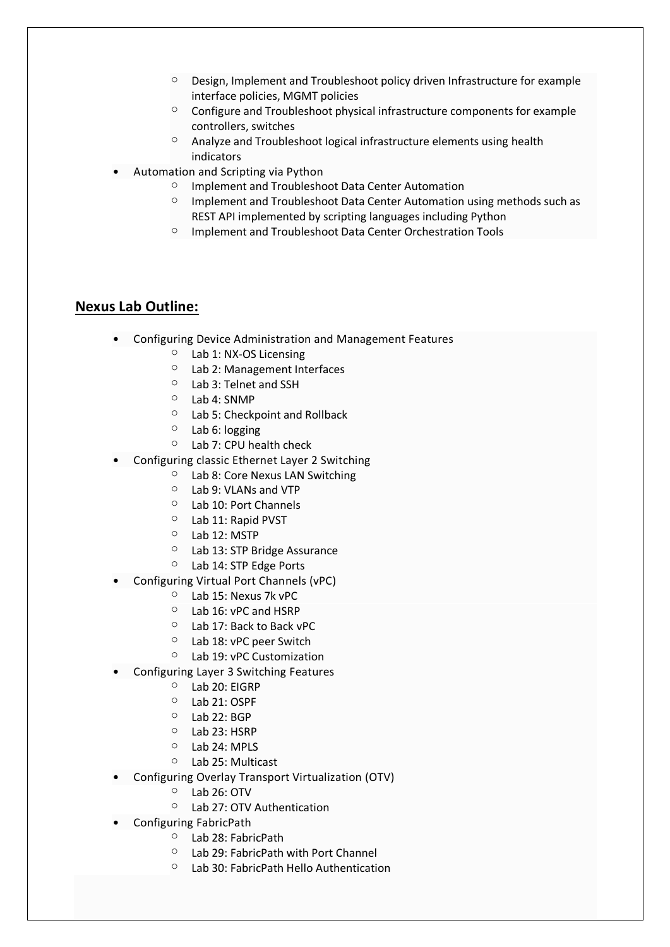- o Design, Implement and Troubleshoot policy driven Infrastructure for example interface policies, MGMT policies
- o Configure and Troubleshoot physical infrastructure components for example controllers, switches
- o Analyze and Troubleshoot logical infrastructure elements using health indicators
- Automation and Scripting via Python
	- o Implement and Troubleshoot Data Center Automation
	- o Implement and Troubleshoot Data Center Automation using methods such as REST API implemented by scripting languages including Python
	- o Implement and Troubleshoot Data Center Orchestration Tools

#### **Nexus Lab Outline:**

- Configuring Device Administration and Management Features
	- o Lab 1: NX-OS Licensing
	- o Lab 2: Management Interfaces
	- o Lab 3: Telnet and SSH
	- o Lab 4: SNMP
	- o Lab 5: Checkpoint and Rollback
	- o Lab 6: logging
	- o Lab 7: CPU health check
- Configuring classic Ethernet Layer 2 Switching
	- o Lab 8: Core Nexus LAN Switching
	- o Lab 9: VLANs and VTP
	- o Lab 10: Port Channels
	- o Lab 11: Rapid PVST
	- o Lab 12: MSTP
	- o Lab 13: STP Bridge Assurance
	- o Lab 14: STP Edge Ports
- Configuring Virtual Port Channels (vPC)
	- o Lab 15: Nexus 7k vPC
	- o Lab 16: vPC and HSRP
	- o Lab 17: Back to Back vPC
	- o Lab 18: vPC peer Switch
	- o Lab 19: vPC Customization
- Configuring Layer 3 Switching Features
	- o Lab 20: EIGRP
	- o Lab 21: OSPF
	- $O$  Lab 22: BGP
	- o Lab 23: HSRP
	- o Lab 24: MPLS
	- o Lab 25: Multicast
- Configuring Overlay Transport Virtualization (OTV)
	- $\circ$  Lab 26: OTV
	- o Lab 27: OTV Authentication
- Configuring FabricPath
	- o Lab 28: FabricPath
	- o Lab 29: FabricPath with Port Channel
	- o Lab 30: FabricPath Hello Authentication